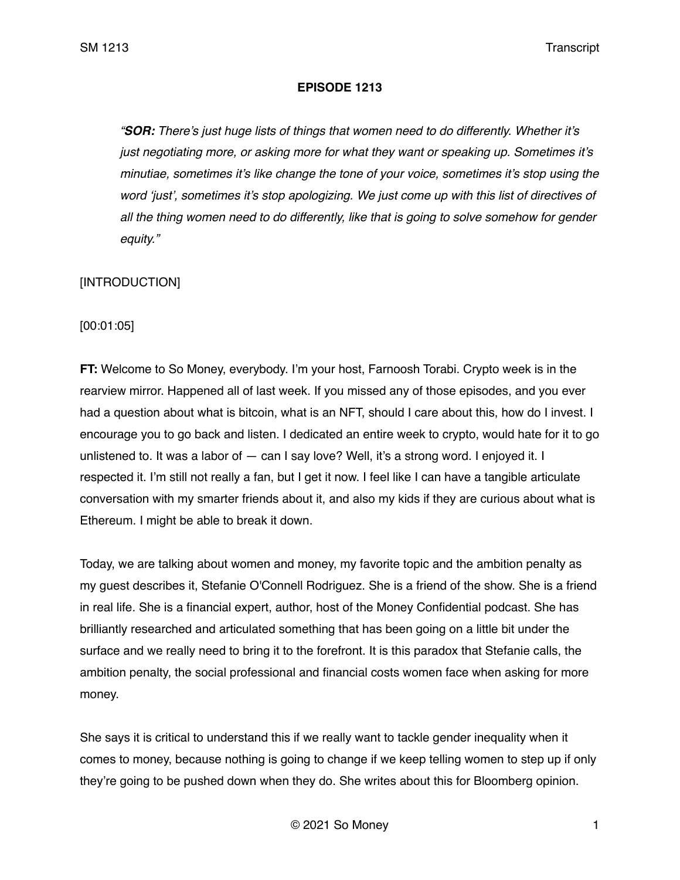## **EPISODE 1213**

*"SOR: There's just huge lists of things that women need to do differently. Whether it's just negotiating more, or asking more for what they want or speaking up. Sometimes it's minutiae, sometimes it's like change the tone of your voice, sometimes it's stop using the word 'just', sometimes it's stop apologizing. We just come up with this list of directives of all the thing women need to do differently, like that is going to solve somehow for gender equity."* 

# [INTRODUCTION]

[00:01:05]

**FT:** Welcome to So Money, everybody. I'm your host, Farnoosh Torabi. Crypto week is in the rearview mirror. Happened all of last week. If you missed any of those episodes, and you ever had a question about what is bitcoin, what is an NFT, should I care about this, how do I invest. I encourage you to go back and listen. I dedicated an entire week to crypto, would hate for it to go unlistened to. It was a labor of — can I say love? Well, it's a strong word. I enjoyed it. I respected it. I'm still not really a fan, but I get it now. I feel like I can have a tangible articulate conversation with my smarter friends about it, and also my kids if they are curious about what is Ethereum. I might be able to break it down.

Today, we are talking about women and money, my favorite topic and the ambition penalty as my guest describes it, Stefanie O'Connell Rodriguez. She is a friend of the show. She is a friend in real life. She is a financial expert, author, host of the Money Confidential podcast. She has brilliantly researched and articulated something that has been going on a little bit under the surface and we really need to bring it to the forefront. It is this paradox that Stefanie calls, the ambition penalty, the social professional and financial costs women face when asking for more money.

She says it is critical to understand this if we really want to tackle gender inequality when it comes to money, because nothing is going to change if we keep telling women to step up if only they're going to be pushed down when they do. She writes about this for Bloomberg opinion.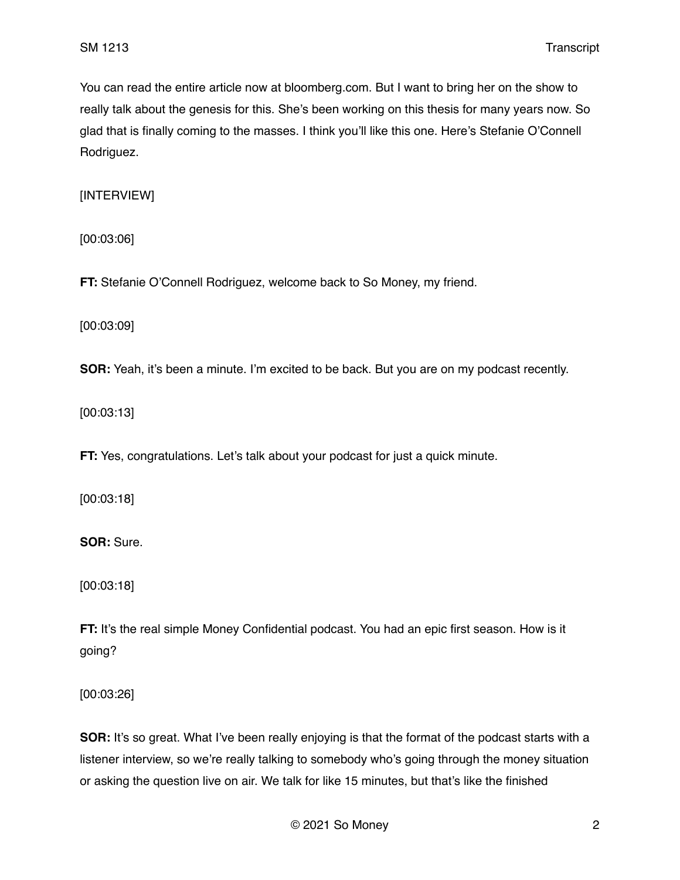You can read the entire article now at bloomberg.com. But I want to bring her on the show to really talk about the genesis for this. She's been working on this thesis for many years now. So glad that is finally coming to the masses. I think you'll like this one. Here's Stefanie O'Connell Rodriguez.

[INTERVIEW]

[00:03:06]

**FT:** Stefanie O'Connell Rodriguez, welcome back to So Money, my friend.

[00:03:09]

**SOR:** Yeah, it's been a minute. I'm excited to be back. But you are on my podcast recently.

[00:03:13]

**FT:** Yes, congratulations. Let's talk about your podcast for just a quick minute.

[00:03:18]

**SOR:** Sure.

[00:03:18]

**FT:** It's the real simple Money Confidential podcast. You had an epic first season. How is it going?

[00:03:26]

**SOR:** It's so great. What I've been really enjoying is that the format of the podcast starts with a listener interview, so we're really talking to somebody who's going through the money situation or asking the question live on air. We talk for like 15 minutes, but that's like the finished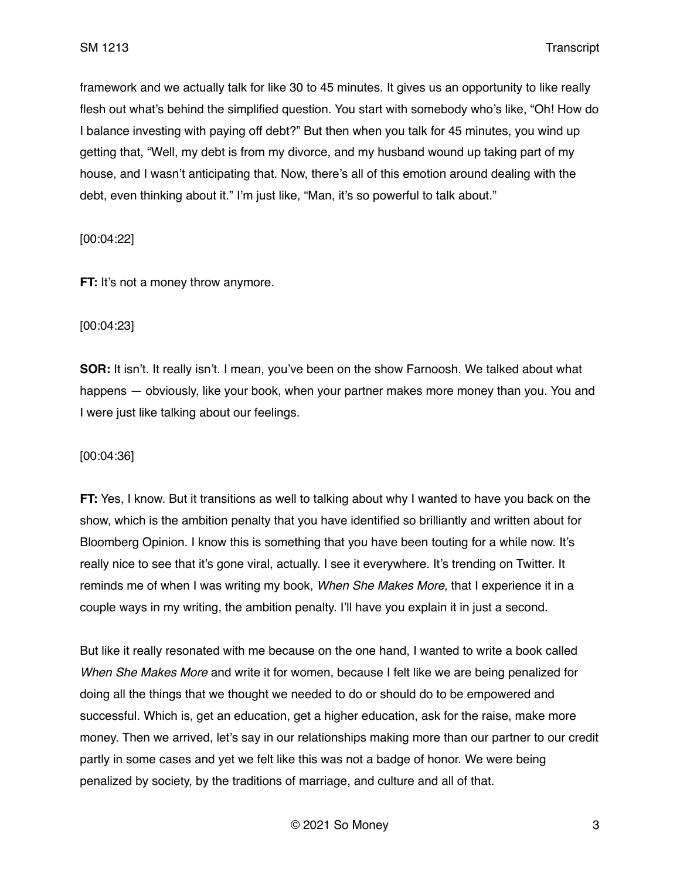framework and we actually talk for like 30 to 45 minutes. It gives us an opportunity to like really flesh out what's behind the simplified question. You start with somebody who's like, "Oh! How do I balance investing with paying off debt?" But then when you talk for 45 minutes, you wind up getting that, "Well, my debt is from my divorce, and my husband wound up taking part of my house, and I wasn't anticipating that. Now, there's all of this emotion around dealing with the debt, even thinking about it." I'm just like, "Man, it's so powerful to talk about."

[00:04:22]

**FT:** It's not a money throw anymore.

### [00:04:23]

**SOR:** It isn't. It really isn't. I mean, you've been on the show Farnoosh. We talked about what happens — obviously, like your book, when your partner makes more money than you. You and I were just like talking about our feelings.

### [00:04:36]

**FT:** Yes, I know. But it transitions as well to talking about why I wanted to have you back on the show, which is the ambition penalty that you have identified so brilliantly and written about for Bloomberg Opinion. I know this is something that you have been touting for a while now. It's really nice to see that it's gone viral, actually. I see it everywhere. It's trending on Twitter. It reminds me of when I was writing my book, *When She Makes More,* that I experience it in a couple ways in my writing, the ambition penalty. I'll have you explain it in just a second.

But like it really resonated with me because on the one hand, I wanted to write a book called *When She Makes More* and write it for women, because I felt like we are being penalized for doing all the things that we thought we needed to do or should do to be empowered and successful. Which is, get an education, get a higher education, ask for the raise, make more money. Then we arrived, let's say in our relationships making more than our partner to our credit partly in some cases and yet we felt like this was not a badge of honor. We were being penalized by society, by the traditions of marriage, and culture and all of that.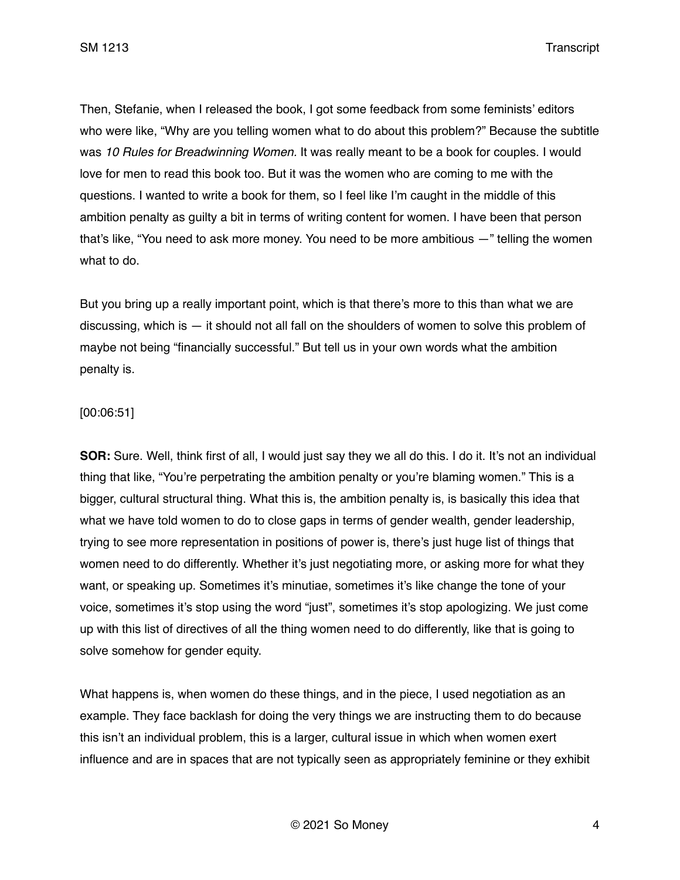Then, Stefanie, when I released the book, I got some feedback from some feminists' editors who were like, "Why are you telling women what to do about this problem?" Because the subtitle was *10 Rules for Breadwinning Women.* It was really meant to be a book for couples. I would love for men to read this book too. But it was the women who are coming to me with the questions. I wanted to write a book for them, so I feel like I'm caught in the middle of this ambition penalty as guilty a bit in terms of writing content for women. I have been that person that's like, "You need to ask more money. You need to be more ambitious —" telling the women what to do.

But you bring up a really important point, which is that there's more to this than what we are discussing, which is — it should not all fall on the shoulders of women to solve this problem of maybe not being "financially successful." But tell us in your own words what the ambition penalty is.

## [00:06:51]

**SOR:** Sure. Well, think first of all, I would just say they we all do this. I do it. It's not an individual thing that like, "You're perpetrating the ambition penalty or you're blaming women." This is a bigger, cultural structural thing. What this is, the ambition penalty is, is basically this idea that what we have told women to do to close gaps in terms of gender wealth, gender leadership, trying to see more representation in positions of power is, there's just huge list of things that women need to do differently. Whether it's just negotiating more, or asking more for what they want, or speaking up. Sometimes it's minutiae, sometimes it's like change the tone of your voice, sometimes it's stop using the word "just", sometimes it's stop apologizing. We just come up with this list of directives of all the thing women need to do differently, like that is going to solve somehow for gender equity.

What happens is, when women do these things, and in the piece, I used negotiation as an example. They face backlash for doing the very things we are instructing them to do because this isn't an individual problem, this is a larger, cultural issue in which when women exert influence and are in spaces that are not typically seen as appropriately feminine or they exhibit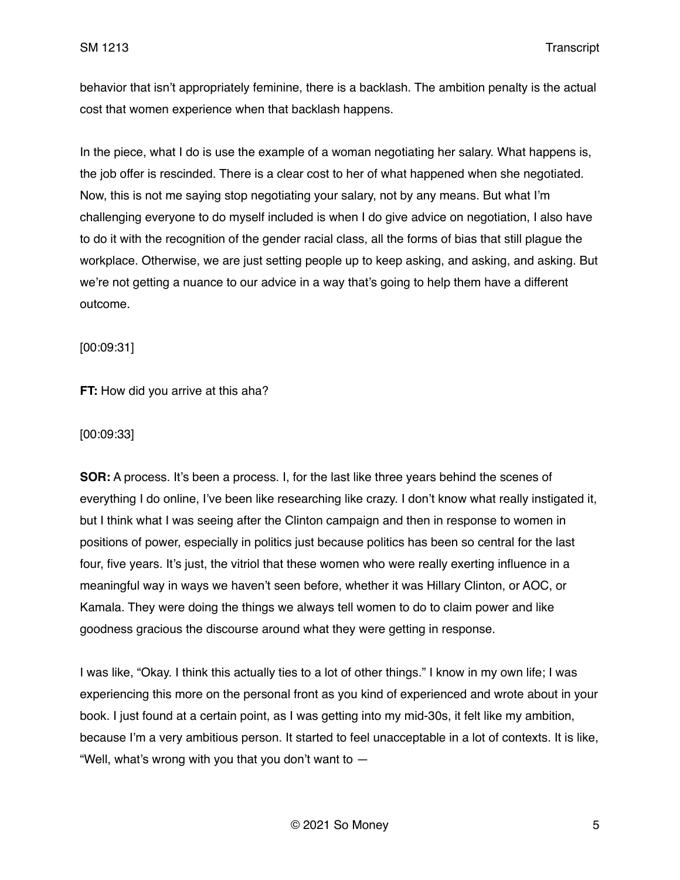behavior that isn't appropriately feminine, there is a backlash. The ambition penalty is the actual cost that women experience when that backlash happens.

In the piece, what I do is use the example of a woman negotiating her salary. What happens is, the job offer is rescinded. There is a clear cost to her of what happened when she negotiated. Now, this is not me saying stop negotiating your salary, not by any means. But what I'm challenging everyone to do myself included is when I do give advice on negotiation, I also have to do it with the recognition of the gender racial class, all the forms of bias that still plague the workplace. Otherwise, we are just setting people up to keep asking, and asking, and asking. But we're not getting a nuance to our advice in a way that's going to help them have a different outcome.

[00:09:31]

**FT:** How did you arrive at this aha?

[00:09:33]

**SOR:** A process. It's been a process. I, for the last like three years behind the scenes of everything I do online, I've been like researching like crazy. I don't know what really instigated it, but I think what I was seeing after the Clinton campaign and then in response to women in positions of power, especially in politics just because politics has been so central for the last four, five years. It's just, the vitriol that these women who were really exerting influence in a meaningful way in ways we haven't seen before, whether it was Hillary Clinton, or AOC, or Kamala. They were doing the things we always tell women to do to claim power and like goodness gracious the discourse around what they were getting in response.

I was like, "Okay. I think this actually ties to a lot of other things." I know in my own life; I was experiencing this more on the personal front as you kind of experienced and wrote about in your book. I just found at a certain point, as I was getting into my mid-30s, it felt like my ambition, because I'm a very ambitious person. It started to feel unacceptable in a lot of contexts. It is like, "Well, what's wrong with you that you don't want to  $-$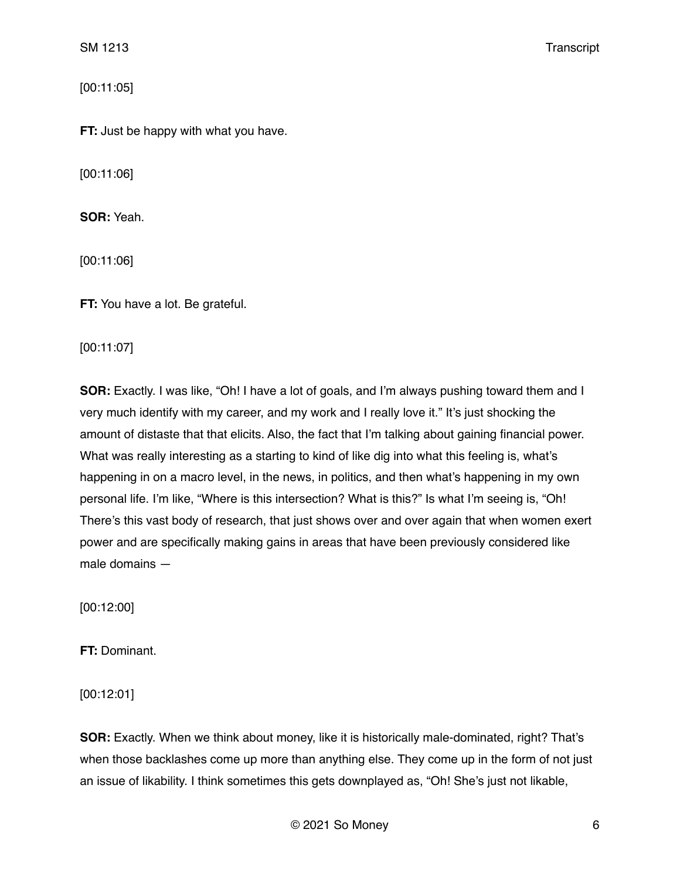[00:11:05]

**FT:** Just be happy with what you have.

[00:11:06]

**SOR:** Yeah.

[00:11:06]

**FT:** You have a lot. Be grateful.

[00:11:07]

**SOR:** Exactly. I was like, "Oh! I have a lot of goals, and I'm always pushing toward them and I very much identify with my career, and my work and I really love it." It's just shocking the amount of distaste that that elicits. Also, the fact that I'm talking about gaining financial power. What was really interesting as a starting to kind of like dig into what this feeling is, what's happening in on a macro level, in the news, in politics, and then what's happening in my own personal life. I'm like, "Where is this intersection? What is this?" Is what I'm seeing is, "Oh! There's this vast body of research, that just shows over and over again that when women exert power and are specifically making gains in areas that have been previously considered like male domains —

[00:12:00]

**FT:** Dominant.

[00:12:01]

**SOR:** Exactly. When we think about money, like it is historically male-dominated, right? That's when those backlashes come up more than anything else. They come up in the form of not just an issue of likability. I think sometimes this gets downplayed as, "Oh! She's just not likable,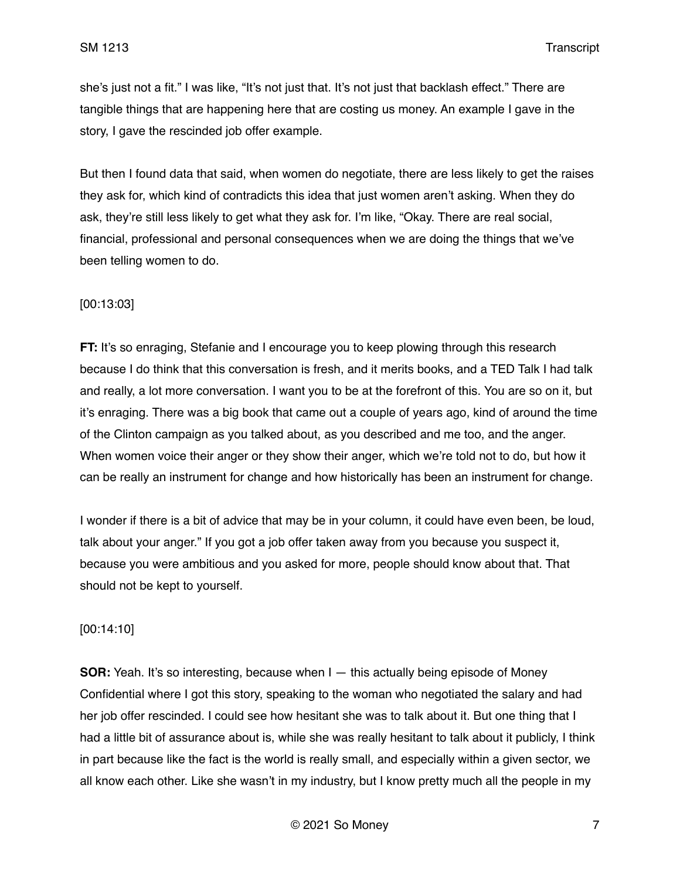she's just not a fit." I was like, "It's not just that. It's not just that backlash effect." There are tangible things that are happening here that are costing us money. An example I gave in the story, I gave the rescinded job offer example.

But then I found data that said, when women do negotiate, there are less likely to get the raises they ask for, which kind of contradicts this idea that just women aren't asking. When they do ask, they're still less likely to get what they ask for. I'm like, "Okay. There are real social, financial, professional and personal consequences when we are doing the things that we've been telling women to do.

## [00:13:03]

**FT:** It's so enraging, Stefanie and I encourage you to keep plowing through this research because I do think that this conversation is fresh, and it merits books, and a TED Talk I had talk and really, a lot more conversation. I want you to be at the forefront of this. You are so on it, but it's enraging. There was a big book that came out a couple of years ago, kind of around the time of the Clinton campaign as you talked about, as you described and me too, and the anger. When women voice their anger or they show their anger, which we're told not to do, but how it can be really an instrument for change and how historically has been an instrument for change.

I wonder if there is a bit of advice that may be in your column, it could have even been, be loud, talk about your anger." If you got a job offer taken away from you because you suspect it, because you were ambitious and you asked for more, people should know about that. That should not be kept to yourself.

### [00:14:10]

**SOR:** Yeah. It's so interesting, because when I — this actually being episode of Money Confidential where I got this story, speaking to the woman who negotiated the salary and had her job offer rescinded. I could see how hesitant she was to talk about it. But one thing that I had a little bit of assurance about is, while she was really hesitant to talk about it publicly, I think in part because like the fact is the world is really small, and especially within a given sector, we all know each other. Like she wasn't in my industry, but I know pretty much all the people in my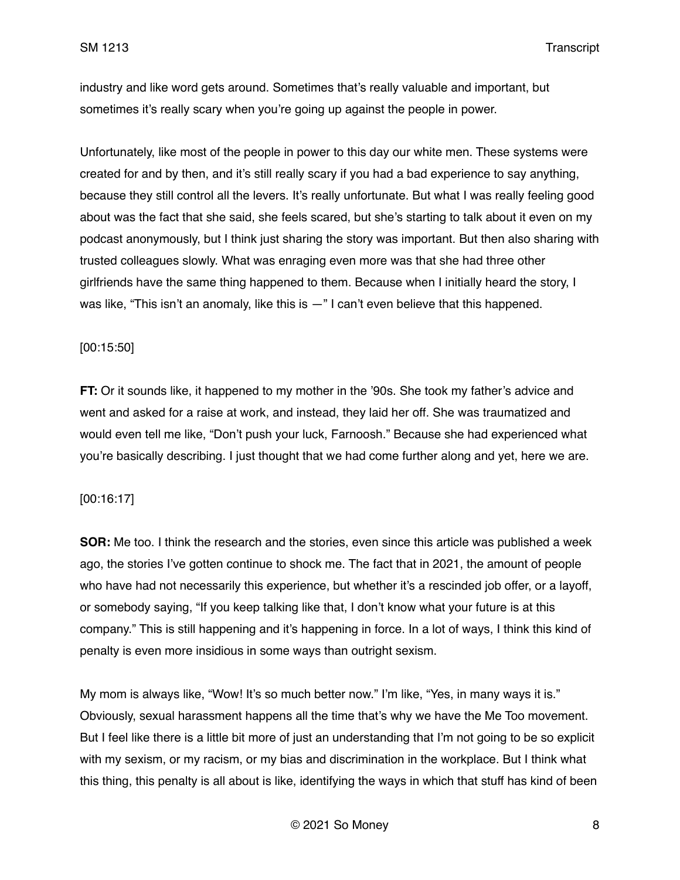industry and like word gets around. Sometimes that's really valuable and important, but sometimes it's really scary when you're going up against the people in power.

Unfortunately, like most of the people in power to this day our white men. These systems were created for and by then, and it's still really scary if you had a bad experience to say anything, because they still control all the levers. It's really unfortunate. But what I was really feeling good about was the fact that she said, she feels scared, but she's starting to talk about it even on my podcast anonymously, but I think just sharing the story was important. But then also sharing with trusted colleagues slowly. What was enraging even more was that she had three other girlfriends have the same thing happened to them. Because when I initially heard the story, I was like, "This isn't an anomaly, like this is  $-$ " I can't even believe that this happened.

### [00:15:50]

**FT:** Or it sounds like, it happened to my mother in the '90s. She took my father's advice and went and asked for a raise at work, and instead, they laid her off. She was traumatized and would even tell me like, "Don't push your luck, Farnoosh." Because she had experienced what you're basically describing. I just thought that we had come further along and yet, here we are.

### [00:16:17]

**SOR:** Me too. I think the research and the stories, even since this article was published a week ago, the stories I've gotten continue to shock me. The fact that in 2021, the amount of people who have had not necessarily this experience, but whether it's a rescinded job offer, or a layoff, or somebody saying, "If you keep talking like that, I don't know what your future is at this company." This is still happening and it's happening in force. In a lot of ways, I think this kind of penalty is even more insidious in some ways than outright sexism.

My mom is always like, "Wow! It's so much better now." I'm like, "Yes, in many ways it is." Obviously, sexual harassment happens all the time that's why we have the Me Too movement. But I feel like there is a little bit more of just an understanding that I'm not going to be so explicit with my sexism, or my racism, or my bias and discrimination in the workplace. But I think what this thing, this penalty is all about is like, identifying the ways in which that stuff has kind of been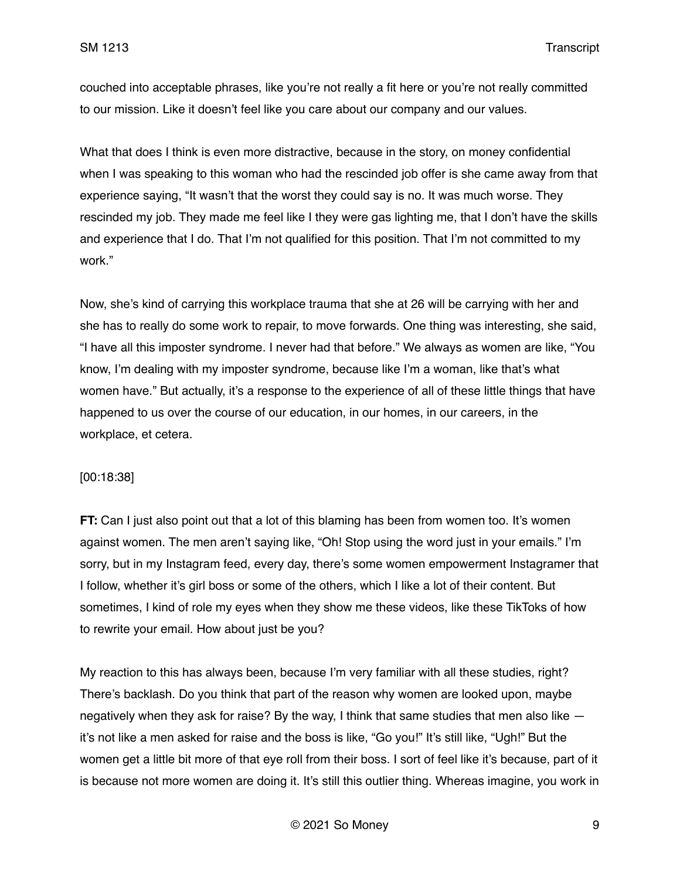couched into acceptable phrases, like you're not really a fit here or you're not really committed to our mission. Like it doesn't feel like you care about our company and our values.

What that does I think is even more distractive, because in the story, on money confidential when I was speaking to this woman who had the rescinded job offer is she came away from that experience saying, "It wasn't that the worst they could say is no. It was much worse. They rescinded my job. They made me feel like I they were gas lighting me, that I don't have the skills and experience that I do. That I'm not qualified for this position. That I'm not committed to my work."

Now, she's kind of carrying this workplace trauma that she at 26 will be carrying with her and she has to really do some work to repair, to move forwards. One thing was interesting, she said, "I have all this imposter syndrome. I never had that before." We always as women are like, "You know, I'm dealing with my imposter syndrome, because like I'm a woman, like that's what women have." But actually, it's a response to the experience of all of these little things that have happened to us over the course of our education, in our homes, in our careers, in the workplace, et cetera.

### [00:18:38]

**FT:** Can I just also point out that a lot of this blaming has been from women too. It's women against women. The men aren't saying like, "Oh! Stop using the word just in your emails." I'm sorry, but in my Instagram feed, every day, there's some women empowerment Instagramer that I follow, whether it's girl boss or some of the others, which I like a lot of their content. But sometimes, I kind of role my eyes when they show me these videos, like these TikToks of how to rewrite your email. How about just be you?

My reaction to this has always been, because I'm very familiar with all these studies, right? There's backlash. Do you think that part of the reason why women are looked upon, maybe negatively when they ask for raise? By the way, I think that same studies that men also like it's not like a men asked for raise and the boss is like, "Go you!" It's still like, "Ugh!" But the women get a little bit more of that eye roll from their boss. I sort of feel like it's because, part of it is because not more women are doing it. It's still this outlier thing. Whereas imagine, you work in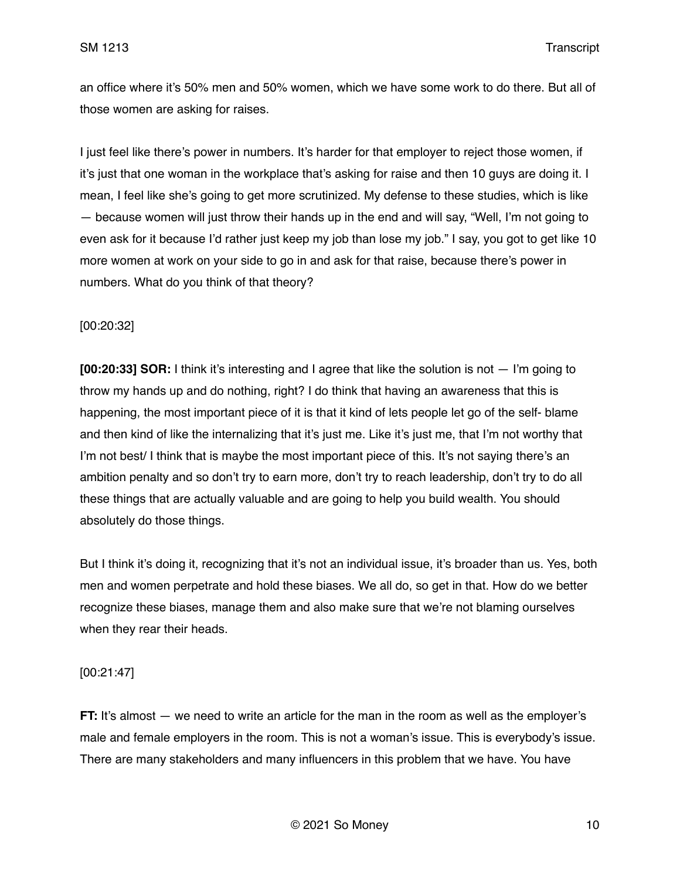an office where it's 50% men and 50% women, which we have some work to do there. But all of those women are asking for raises.

I just feel like there's power in numbers. It's harder for that employer to reject those women, if it's just that one woman in the workplace that's asking for raise and then 10 guys are doing it. I mean, I feel like she's going to get more scrutinized. My defense to these studies, which is like — because women will just throw their hands up in the end and will say, "Well, I'm not going to even ask for it because I'd rather just keep my job than lose my job." I say, you got to get like 10 more women at work on your side to go in and ask for that raise, because there's power in numbers. What do you think of that theory?

## [00:20:32]

**[00:20:33] SOR:** I think it's interesting and I agree that like the solution is not — I'm going to throw my hands up and do nothing, right? I do think that having an awareness that this is happening, the most important piece of it is that it kind of lets people let go of the self- blame and then kind of like the internalizing that it's just me. Like it's just me, that I'm not worthy that I'm not best/ I think that is maybe the most important piece of this. It's not saying there's an ambition penalty and so don't try to earn more, don't try to reach leadership, don't try to do all these things that are actually valuable and are going to help you build wealth. You should absolutely do those things.

But I think it's doing it, recognizing that it's not an individual issue, it's broader than us. Yes, both men and women perpetrate and hold these biases. We all do, so get in that. How do we better recognize these biases, manage them and also make sure that we're not blaming ourselves when they rear their heads.

## [00:21:47]

**FT:** It's almost — we need to write an article for the man in the room as well as the employer's male and female employers in the room. This is not a woman's issue. This is everybody's issue. There are many stakeholders and many influencers in this problem that we have. You have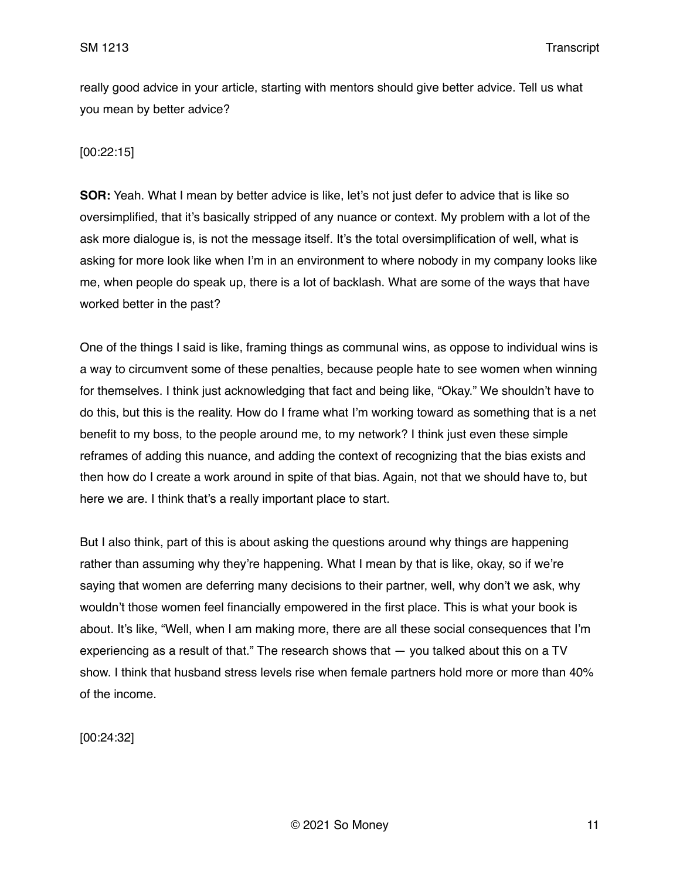really good advice in your article, starting with mentors should give better advice. Tell us what you mean by better advice?

## [00:22:15]

**SOR:** Yeah. What I mean by better advice is like, let's not just defer to advice that is like so oversimplified, that it's basically stripped of any nuance or context. My problem with a lot of the ask more dialogue is, is not the message itself. It's the total oversimplification of well, what is asking for more look like when I'm in an environment to where nobody in my company looks like me, when people do speak up, there is a lot of backlash. What are some of the ways that have worked better in the past?

One of the things I said is like, framing things as communal wins, as oppose to individual wins is a way to circumvent some of these penalties, because people hate to see women when winning for themselves. I think just acknowledging that fact and being like, "Okay." We shouldn't have to do this, but this is the reality. How do I frame what I'm working toward as something that is a net benefit to my boss, to the people around me, to my network? I think just even these simple reframes of adding this nuance, and adding the context of recognizing that the bias exists and then how do I create a work around in spite of that bias. Again, not that we should have to, but here we are. I think that's a really important place to start.

But I also think, part of this is about asking the questions around why things are happening rather than assuming why they're happening. What I mean by that is like, okay, so if we're saying that women are deferring many decisions to their partner, well, why don't we ask, why wouldn't those women feel financially empowered in the first place. This is what your book is about. It's like, "Well, when I am making more, there are all these social consequences that I'm experiencing as a result of that." The research shows that — you talked about this on a TV show. I think that husband stress levels rise when female partners hold more or more than 40% of the income.

[00:24:32]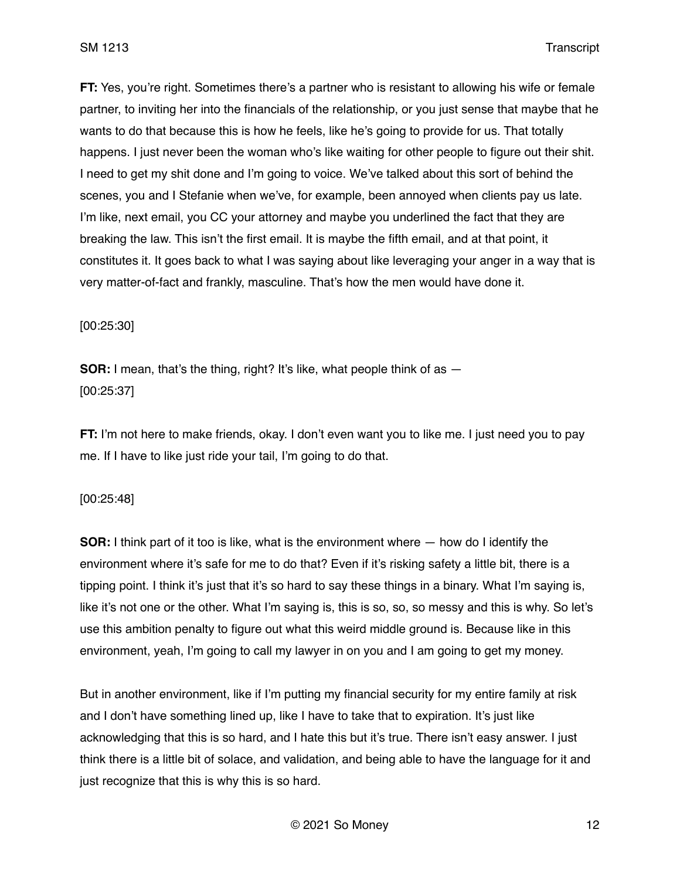**FT:** Yes, you're right. Sometimes there's a partner who is resistant to allowing his wife or female partner, to inviting her into the financials of the relationship, or you just sense that maybe that he wants to do that because this is how he feels, like he's going to provide for us. That totally happens. I just never been the woman who's like waiting for other people to figure out their shit. I need to get my shit done and I'm going to voice. We've talked about this sort of behind the scenes, you and I Stefanie when we've, for example, been annoyed when clients pay us late. I'm like, next email, you CC your attorney and maybe you underlined the fact that they are breaking the law. This isn't the first email. It is maybe the fifth email, and at that point, it constitutes it. It goes back to what I was saying about like leveraging your anger in a way that is very matter-of-fact and frankly, masculine. That's how the men would have done it.

[00:25:30]

**SOR:** I mean, that's the thing, right? It's like, what people think of as  $-$ [00:25:37]

**FT:** I'm not here to make friends, okay. I don't even want you to like me. I just need you to pay me. If I have to like just ride your tail, I'm going to do that.

### [00:25:48]

**SOR:** I think part of it too is like, what is the environment where — how do I identify the environment where it's safe for me to do that? Even if it's risking safety a little bit, there is a tipping point. I think it's just that it's so hard to say these things in a binary. What I'm saying is, like it's not one or the other. What I'm saying is, this is so, so, so messy and this is why. So let's use this ambition penalty to figure out what this weird middle ground is. Because like in this environment, yeah, I'm going to call my lawyer in on you and I am going to get my money.

But in another environment, like if I'm putting my financial security for my entire family at risk and I don't have something lined up, like I have to take that to expiration. It's just like acknowledging that this is so hard, and I hate this but it's true. There isn't easy answer. I just think there is a little bit of solace, and validation, and being able to have the language for it and just recognize that this is why this is so hard.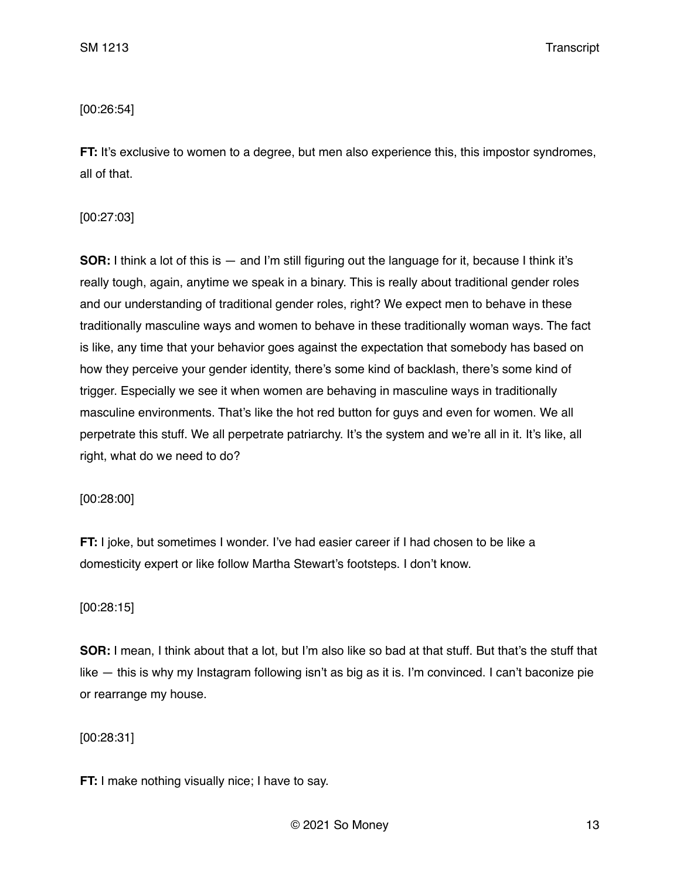## [00:26:54]

**FT:** It's exclusive to women to a degree, but men also experience this, this impostor syndromes, all of that.

## [00:27:03]

**SOR:** I think a lot of this is — and I'm still figuring out the language for it, because I think it's really tough, again, anytime we speak in a binary. This is really about traditional gender roles and our understanding of traditional gender roles, right? We expect men to behave in these traditionally masculine ways and women to behave in these traditionally woman ways. The fact is like, any time that your behavior goes against the expectation that somebody has based on how they perceive your gender identity, there's some kind of backlash, there's some kind of trigger. Especially we see it when women are behaving in masculine ways in traditionally masculine environments. That's like the hot red button for guys and even for women. We all perpetrate this stuff. We all perpetrate patriarchy. It's the system and we're all in it. It's like, all right, what do we need to do?

## [00:28:00]

**FT:** I joke, but sometimes I wonder. I've had easier career if I had chosen to be like a domesticity expert or like follow Martha Stewart's footsteps. I don't know.

## [00:28:15]

**SOR:** I mean, I think about that a lot, but I'm also like so bad at that stuff. But that's the stuff that like — this is why my Instagram following isn't as big as it is. I'm convinced. I can't baconize pie or rearrange my house.

# [00:28:31]

**FT:** I make nothing visually nice; I have to say.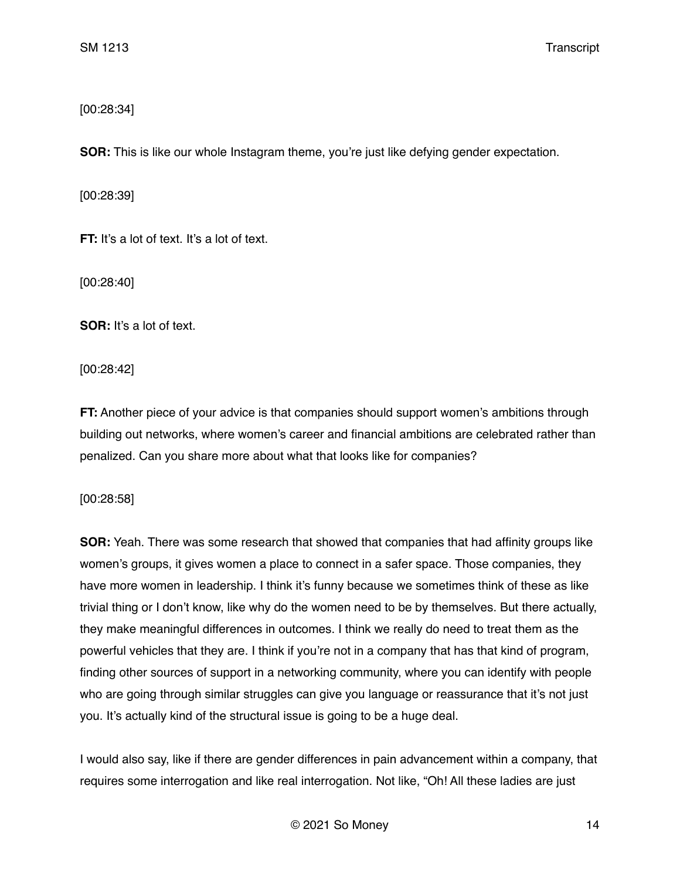[00:28:34]

**SOR:** This is like our whole Instagram theme, you're just like defying gender expectation.

[00:28:39]

**FT:** It's a lot of text. It's a lot of text.

[00:28:40]

**SOR:** It's a lot of text.

[00:28:42]

**FT:** Another piece of your advice is that companies should support women's ambitions through building out networks, where women's career and financial ambitions are celebrated rather than penalized. Can you share more about what that looks like for companies?

[00:28:58]

**SOR:** Yeah. There was some research that showed that companies that had affinity groups like women's groups, it gives women a place to connect in a safer space. Those companies, they have more women in leadership. I think it's funny because we sometimes think of these as like trivial thing or I don't know, like why do the women need to be by themselves. But there actually, they make meaningful differences in outcomes. I think we really do need to treat them as the powerful vehicles that they are. I think if you're not in a company that has that kind of program, finding other sources of support in a networking community, where you can identify with people who are going through similar struggles can give you language or reassurance that it's not just you. It's actually kind of the structural issue is going to be a huge deal.

I would also say, like if there are gender differences in pain advancement within a company, that requires some interrogation and like real interrogation. Not like, "Oh! All these ladies are just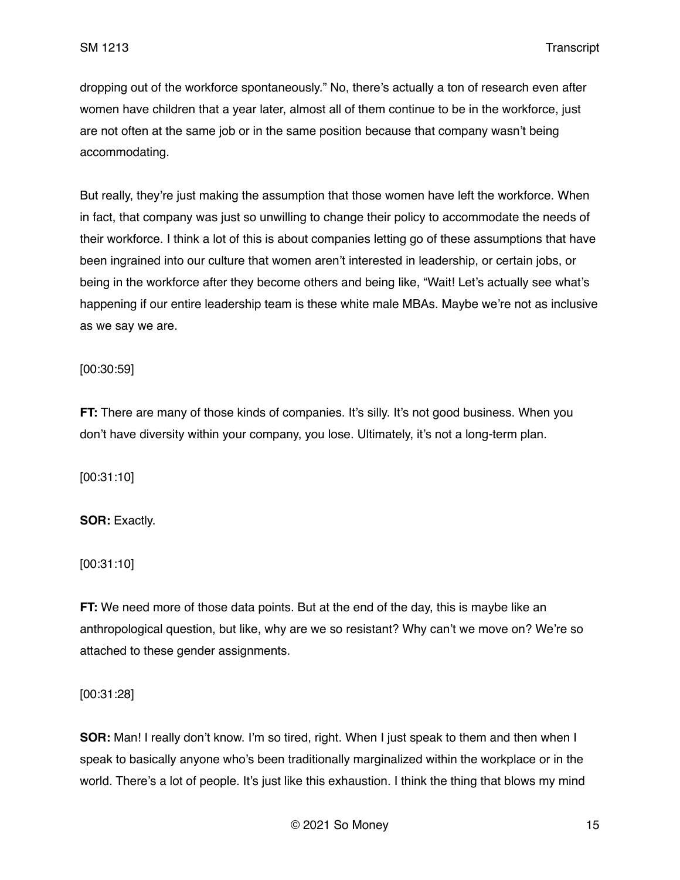dropping out of the workforce spontaneously." No, there's actually a ton of research even after women have children that a year later, almost all of them continue to be in the workforce, just are not often at the same job or in the same position because that company wasn't being accommodating.

But really, they're just making the assumption that those women have left the workforce. When in fact, that company was just so unwilling to change their policy to accommodate the needs of their workforce. I think a lot of this is about companies letting go of these assumptions that have been ingrained into our culture that women aren't interested in leadership, or certain jobs, or being in the workforce after they become others and being like, "Wait! Let's actually see what's happening if our entire leadership team is these white male MBAs. Maybe we're not as inclusive as we say we are.

[00:30:59]

**FT:** There are many of those kinds of companies. It's silly. It's not good business. When you don't have diversity within your company, you lose. Ultimately, it's not a long-term plan.

[00:31:10]

**SOR:** Exactly.

[00:31:10]

**FT:** We need more of those data points. But at the end of the day, this is maybe like an anthropological question, but like, why are we so resistant? Why can't we move on? We're so attached to these gender assignments.

[00:31:28]

**SOR:** Man! I really don't know. I'm so tired, right. When I just speak to them and then when I speak to basically anyone who's been traditionally marginalized within the workplace or in the world. There's a lot of people. It's just like this exhaustion. I think the thing that blows my mind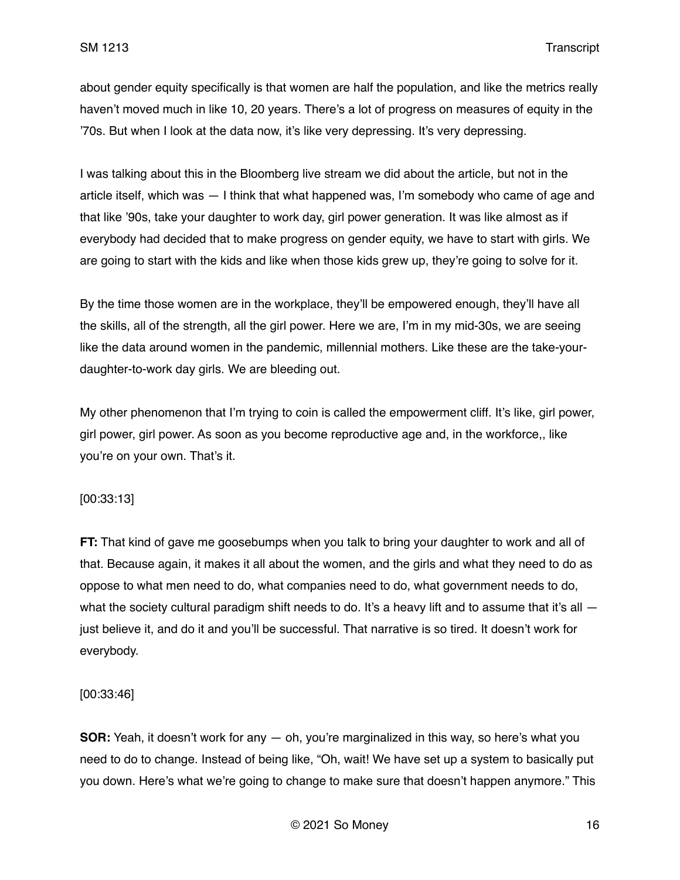about gender equity specifically is that women are half the population, and like the metrics really haven't moved much in like 10, 20 years. There's a lot of progress on measures of equity in the '70s. But when I look at the data now, it's like very depressing. It's very depressing.

I was talking about this in the Bloomberg live stream we did about the article, but not in the article itself, which was — I think that what happened was, I'm somebody who came of age and that like '90s, take your daughter to work day, girl power generation. It was like almost as if everybody had decided that to make progress on gender equity, we have to start with girls. We are going to start with the kids and like when those kids grew up, they're going to solve for it.

By the time those women are in the workplace, they'll be empowered enough, they'll have all the skills, all of the strength, all the girl power. Here we are, I'm in my mid-30s, we are seeing like the data around women in the pandemic, millennial mothers. Like these are the take-yourdaughter-to-work day girls. We are bleeding out.

My other phenomenon that I'm trying to coin is called the empowerment cliff. It's like, girl power, girl power, girl power. As soon as you become reproductive age and, in the workforce,, like you're on your own. That's it.

### [00:33:13]

**FT:** That kind of gave me goosebumps when you talk to bring your daughter to work and all of that. Because again, it makes it all about the women, and the girls and what they need to do as oppose to what men need to do, what companies need to do, what government needs to do, what the society cultural paradigm shift needs to do. It's a heavy lift and to assume that it's all  $$ just believe it, and do it and you'll be successful. That narrative is so tired. It doesn't work for everybody.

### [00:33:46]

**SOR:** Yeah, it doesn't work for any — oh, you're marginalized in this way, so here's what you need to do to change. Instead of being like, "Oh, wait! We have set up a system to basically put you down. Here's what we're going to change to make sure that doesn't happen anymore." This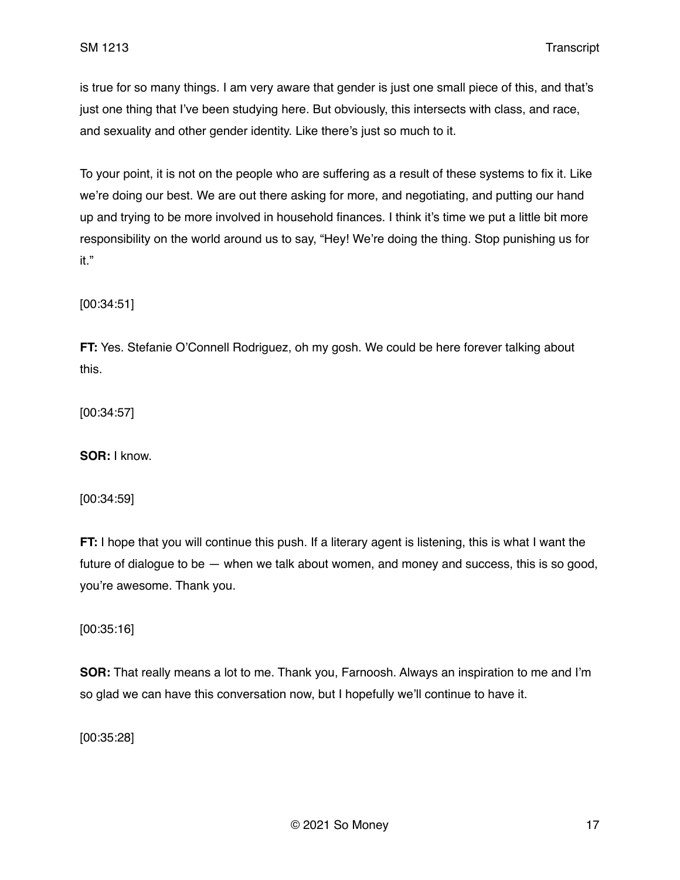is true for so many things. I am very aware that gender is just one small piece of this, and that's just one thing that I've been studying here. But obviously, this intersects with class, and race, and sexuality and other gender identity. Like there's just so much to it.

To your point, it is not on the people who are suffering as a result of these systems to fix it. Like we're doing our best. We are out there asking for more, and negotiating, and putting our hand up and trying to be more involved in household finances. I think it's time we put a little bit more responsibility on the world around us to say, "Hey! We're doing the thing. Stop punishing us for it."

[00:34:51]

**FT:** Yes. Stefanie O'Connell Rodriguez, oh my gosh. We could be here forever talking about this.

[00:34:57]

**SOR:** I know.

[00:34:59]

**FT:** I hope that you will continue this push. If a literary agent is listening, this is what I want the future of dialogue to be — when we talk about women, and money and success, this is so good, you're awesome. Thank you.

[00:35:16]

**SOR:** That really means a lot to me. Thank you, Farnoosh. Always an inspiration to me and I'm so glad we can have this conversation now, but I hopefully we'll continue to have it.

[00:35:28]